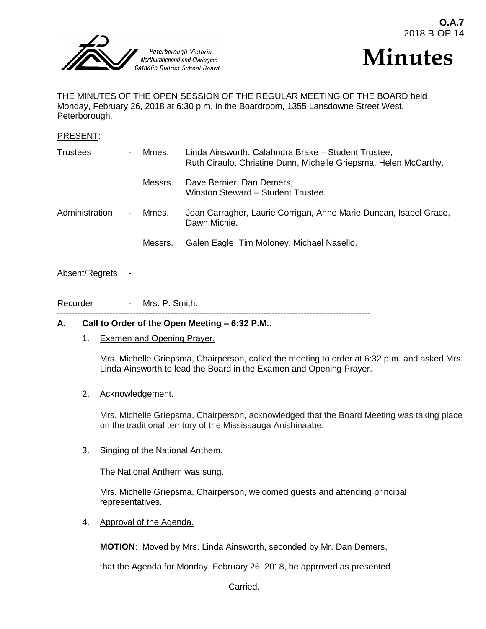



THE MINUTES OF THE OPEN SESSION OF THE REGULAR MEETING OF THE BOARD held Monday, February 26, 2018 at 6:30 p.m. in the Boardroom, 1355 Lansdowne Street West, Peterborough.

#### PRESENT:

| <b>Trustees</b> | $\overline{\phantom{0}}$ | Mmes.   | Linda Ainsworth, Calahndra Brake - Student Trustee,<br>Ruth Ciraulo, Christine Dunn, Michelle Griepsma, Helen McCarthy. |
|-----------------|--------------------------|---------|-------------------------------------------------------------------------------------------------------------------------|
|                 |                          | Messrs. | Dave Bernier, Dan Demers,<br>Winston Steward - Student Trustee.                                                         |
| Administration  | $\blacksquare$           | Mmes.   | Joan Carragher, Laurie Corrigan, Anne Marie Duncan, Isabel Grace,<br>Dawn Michie.                                       |
|                 |                          | Messrs. | Galen Eagle, Tim Moloney, Michael Nasello.                                                                              |

## Absent/Regrets

Recorder - Mrs. P. Smith.

------------------------------------------------------------------------------------------------------------

#### **A. Call to Order of the Open Meeting – 6:32 P.M.**:

1. Examen and Opening Prayer.

Mrs. Michelle Griepsma, Chairperson, called the meeting to order at 6:32 p.m. and asked Mrs. Linda Ainsworth to lead the Board in the Examen and Opening Prayer.

#### 2. Acknowledgement.

Mrs. Michelle Griepsma, Chairperson, acknowledged that the Board Meeting was taking place on the traditional territory of the Mississauga Anishinaabe.

#### 3. Singing of the National Anthem.

The National Anthem was sung.

Mrs. Michelle Griepsma, Chairperson, welcomed guests and attending principal representatives.

4. Approval of the Agenda.

**MOTION**: Moved by Mrs. Linda Ainsworth, seconded by Mr. Dan Demers,

that the Agenda for Monday, February 26, 2018, be approved as presented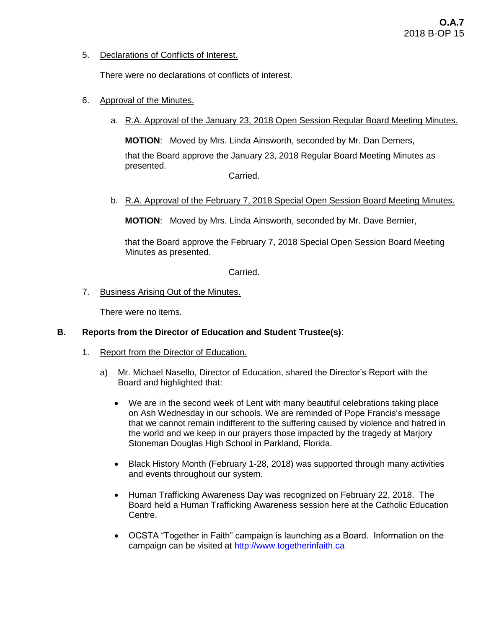5. Declarations of Conflicts of Interest.

There were no declarations of conflicts of interest.

- 6. Approval of the Minutes.
	- a. R.A. Approval of the January 23, 2018 Open Session Regular Board Meeting Minutes.

**MOTION**: Moved by Mrs. Linda Ainsworth, seconded by Mr. Dan Demers, that the Board approve the January 23, 2018 Regular Board Meeting Minutes as presented. Carried.

b. R.A. Approval of the February 7, 2018 Special Open Session Board Meeting Minutes.

**MOTION**: Moved by Mrs. Linda Ainsworth, seconded by Mr. Dave Bernier,

that the Board approve the February 7, 2018 Special Open Session Board Meeting Minutes as presented.

Carried.

7. Business Arising Out of the Minutes.

There were no items.

## **B. Reports from the Director of Education and Student Trustee(s)**:

- 1. Report from the Director of Education.
	- a) Mr. Michael Nasello, Director of Education, shared the Director's Report with the Board and highlighted that:
		- We are in the second week of Lent with many beautiful celebrations taking place on Ash Wednesday in our schools. We are reminded of Pope Francis's message that we cannot remain indifferent to the suffering caused by violence and hatred in the world and we keep in our prayers those impacted by the tragedy at Marjory Stoneman Douglas High School in Parkland, Florida.
		- Black History Month (February 1-28, 2018) was supported through many activities and events throughout our system.
		- Human Trafficking Awareness Day was recognized on February 22, 2018. The Board held a Human Trafficking Awareness session here at the Catholic Education Centre.
		- OCSTA "Together in Faith" campaign is launching as a Board. Information on the campaign can be visited at [http://www.togetherinfaith.ca](http://www.togetherinfaith.ca/)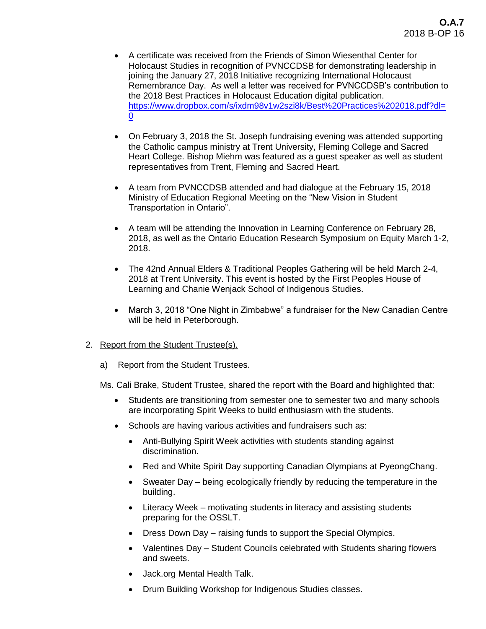- A certificate was received from the Friends of Simon Wiesenthal Center for Holocaust Studies in recognition of PVNCCDSB for demonstrating leadership in joining the January 27, 2018 Initiative recognizing International Holocaust Remembrance Day. As well a letter was received for PVNCCDSB's contribution to the 2018 Best Practices in Holocaust Education digital publication. [https://www.dropbox.com/s/ixdm98v1w2szi8k/Best%20Practices%202018.pdf?dl=](https://www.dropbox.com/s/ixdm98v1w2szi8k/Best%20Practices%202018.pdf?dl=0) [0](https://www.dropbox.com/s/ixdm98v1w2szi8k/Best%20Practices%202018.pdf?dl=0)
- On February 3, 2018 the St. Joseph fundraising evening was attended supporting the Catholic campus ministry at Trent University, Fleming College and Sacred Heart College. Bishop Miehm was featured as a guest speaker as well as student representatives from Trent, Fleming and Sacred Heart.
- A team from PVNCCDSB attended and had dialogue at the February 15, 2018 Ministry of Education Regional Meeting on the "New Vision in Student Transportation in Ontario".
- A team will be attending the Innovation in Learning Conference on February 28, 2018, as well as the Ontario Education Research Symposium on Equity March 1-2, 2018.
- The 42nd Annual Elders & Traditional Peoples Gathering will be held March 2-4, 2018 at Trent University. This event is hosted by the First Peoples House of Learning and Chanie Wenjack School of Indigenous Studies.
- March 3, 2018 "One Night in Zimbabwe" a fundraiser for the New Canadian Centre will be held in Peterborough.

## 2. Report from the Student Trustee(s).

a) Report from the Student Trustees.

Ms. Cali Brake, Student Trustee, shared the report with the Board and highlighted that:

- Students are transitioning from semester one to semester two and many schools are incorporating Spirit Weeks to build enthusiasm with the students.
- Schools are having various activities and fundraisers such as:
	- Anti-Bullying Spirit Week activities with students standing against discrimination.
	- Red and White Spirit Day supporting Canadian Olympians at PyeongChang.
	- Sweater Day being ecologically friendly by reducing the temperature in the building.
	- Literacy Week motivating students in literacy and assisting students preparing for the OSSLT.
	- Dress Down Day raising funds to support the Special Olympics.
	- Valentines Day Student Councils celebrated with Students sharing flowers and sweets.
	- Jack.org Mental Health Talk.
	- Drum Building Workshop for Indigenous Studies classes.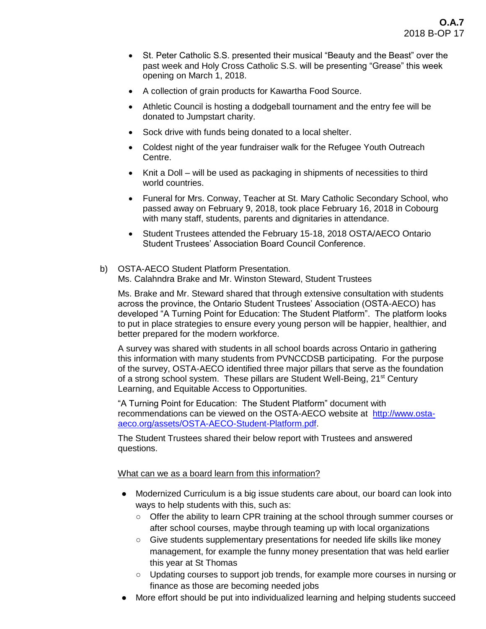- St. Peter Catholic S.S. presented their musical "Beauty and the Beast" over the past week and Holy Cross Catholic S.S. will be presenting "Grease" this week opening on March 1, 2018.
- A collection of grain products for Kawartha Food Source.
- Athletic Council is hosting a dodgeball tournament and the entry fee will be donated to Jumpstart charity.
- Sock drive with funds being donated to a local shelter.
- Coldest night of the year fundraiser walk for the Refugee Youth Outreach Centre.
- Knit a Doll will be used as packaging in shipments of necessities to third world countries.
- Funeral for Mrs. Conway, Teacher at St. Mary Catholic Secondary School, who passed away on February 9, 2018, took place February 16, 2018 in Cobourg with many staff, students, parents and dignitaries in attendance.
- Student Trustees attended the February 15-18, 2018 OSTA/AECO Ontario Student Trustees' Association Board Council Conference.
- b) OSTA-AECO Student Platform Presentation. Ms. Calahndra Brake and Mr. Winston Steward, Student Trustees

Ms. Brake and Mr. Steward shared that through extensive consultation with students across the province, the Ontario Student Trustees' Association (OSTA-AECO) has developed "A Turning Point for Education: The Student Platform". The platform looks to put in place strategies to ensure every young person will be happier, healthier, and better prepared for the modern workforce.

A survey was shared with students in all school boards across Ontario in gathering this information with many students from PVNCCDSB participating. For the purpose of the survey, OSTA-AECO identified three major pillars that serve as the foundation of a strong school system. These pillars are Student Well-Being, 21<sup>st</sup> Century Learning, and Equitable Access to Opportunities.

"A Turning Point for Education: The Student Platform" document with recommendations can be viewed on the OSTA-AECO website at [http://www.osta](http://www.osta-aeco.org/assets/OSTA-AECO-Student-Platform.pdf)[aeco.org/assets/OSTA-AECO-Student-Platform.pdf.](http://www.osta-aeco.org/assets/OSTA-AECO-Student-Platform.pdf)

The Student Trustees shared their below report with Trustees and answered questions.

What can we as a board learn from this information?

- Modernized Curriculum is a big issue students care about, our board can look into ways to help students with this, such as:
	- Offer the ability to learn CPR training at the school through summer courses or after school courses, maybe through teaming up with local organizations
	- Give students supplementary presentations for needed life skills like money management, for example the funny money presentation that was held earlier this year at St Thomas
	- Updating courses to support job trends, for example more courses in nursing or finance as those are becoming needed jobs
- More effort should be put into individualized learning and helping students succeed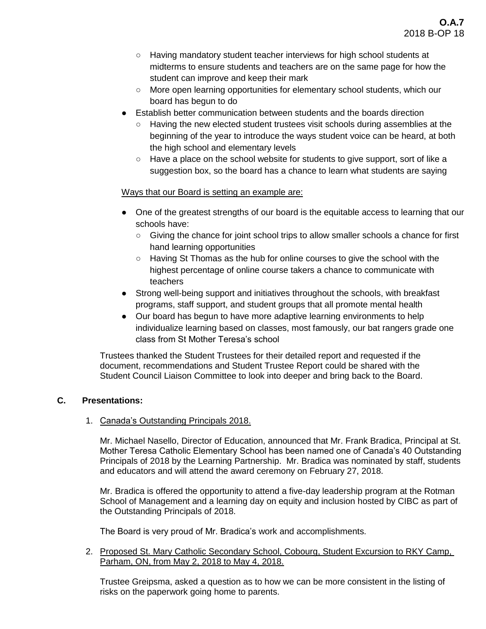- Having mandatory student teacher interviews for high school students at midterms to ensure students and teachers are on the same page for how the student can improve and keep their mark
- More open learning opportunities for elementary school students, which our board has begun to do
- Establish better communication between students and the boards direction
	- Having the new elected student trustees visit schools during assemblies at the beginning of the year to introduce the ways student voice can be heard, at both the high school and elementary levels
	- Have a place on the school website for students to give support, sort of like a suggestion box, so the board has a chance to learn what students are saying

# Ways that our Board is setting an example are:

- One of the greatest strengths of our board is the equitable access to learning that our schools have:
	- Giving the chance for joint school trips to allow smaller schools a chance for first hand learning opportunities
	- $\circ$  Having St Thomas as the hub for online courses to give the school with the highest percentage of online course takers a chance to communicate with teachers
- Strong well-being support and initiatives throughout the schools, with breakfast programs, staff support, and student groups that all promote mental health
- Our board has begun to have more adaptive learning environments to help individualize learning based on classes, most famously, our bat rangers grade one class from St Mother Teresa's school

Trustees thanked the Student Trustees for their detailed report and requested if the document, recommendations and Student Trustee Report could be shared with the Student Council Liaison Committee to look into deeper and bring back to the Board.

## **C. Presentations:**

## 1. Canada's Outstanding Principals 2018.

Mr. Michael Nasello, Director of Education, announced that Mr. Frank Bradica, Principal at St. Mother Teresa Catholic Elementary School has been named one of Canada's 40 Outstanding Principals of 2018 by the Learning Partnership. Mr. Bradica was nominated by staff, students and educators and will attend the award ceremony on February 27, 2018.

Mr. Bradica is offered the opportunity to attend a five-day leadership program at the Rotman School of Management and a learning day on equity and inclusion hosted by CIBC as part of the Outstanding Principals of 2018.

The Board is very proud of Mr. Bradica's work and accomplishments.

2. Proposed St. Mary Catholic Secondary School, Cobourg, Student Excursion to RKY Camp, Parham, ON, from May 2, 2018 to May 4, 2018.

Trustee Greipsma, asked a question as to how we can be more consistent in the listing of risks on the paperwork going home to parents.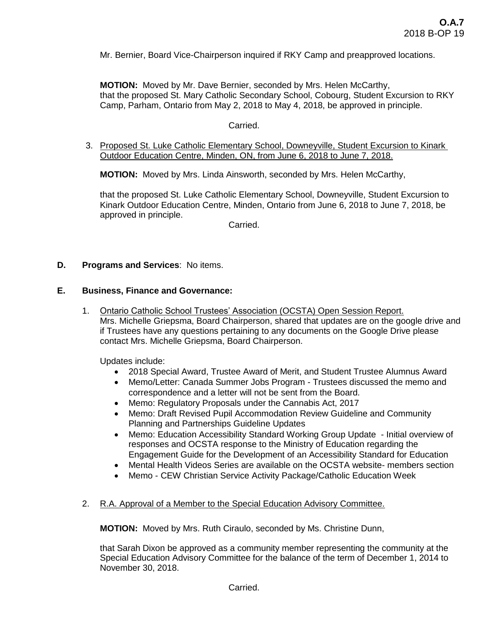Mr. Bernier, Board Vice-Chairperson inquired if RKY Camp and preapproved locations.

**MOTION:** Moved by Mr. Dave Bernier, seconded by Mrs. Helen McCarthy, that the proposed St. Mary Catholic Secondary School, Cobourg, Student Excursion to RKY Camp, Parham, Ontario from May 2, 2018 to May 4, 2018, be approved in principle.

#### Carried.

3. Proposed St. Luke Catholic Elementary School, Downeyville, Student Excursion to Kinark Outdoor Education Centre, Minden, ON, from June 6, 2018 to June 7, 2018.

**MOTION:** Moved by Mrs. Linda Ainsworth, seconded by Mrs. Helen McCarthy,

that the proposed St. Luke Catholic Elementary School, Downeyville, Student Excursion to Kinark Outdoor Education Centre, Minden, Ontario from June 6, 2018 to June 7, 2018, be approved in principle.

**Carried** 

## **D. Programs and Services**: No items.

#### **E. Business, Finance and Governance:**

1. Ontario Catholic School Trustees' Association (OCSTA) Open Session Report. Mrs. Michelle Griepsma, Board Chairperson, shared that updates are on the google drive and if Trustees have any questions pertaining to any documents on the Google Drive please contact Mrs. Michelle Griepsma, Board Chairperson.

Updates include:

- 2018 Special Award, Trustee Award of Merit, and Student Trustee Alumnus Award
- Memo/Letter: Canada Summer Jobs Program Trustees discussed the memo and correspondence and a letter will not be sent from the Board.
- Memo: Regulatory Proposals under the Cannabis Act, 2017
- Memo: Draft Revised Pupil Accommodation Review Guideline and Community Planning and Partnerships Guideline Updates
- Memo: Education Accessibility Standard Working Group Update Initial overview of responses and OCSTA response to the Ministry of Education regarding the Engagement Guide for the Development of an Accessibility Standard for Education
- Mental Health Videos Series are available on the OCSTA website- members section
- Memo CEW Christian Service Activity Package/Catholic Education Week
- 2. R.A. Approval of a Member to the Special Education Advisory Committee.

**MOTION:** Moved by Mrs. Ruth Ciraulo, seconded by Ms. Christine Dunn,

that Sarah Dixon be approved as a community member representing the community at the Special Education Advisory Committee for the balance of the term of December 1, 2014 to November 30, 2018.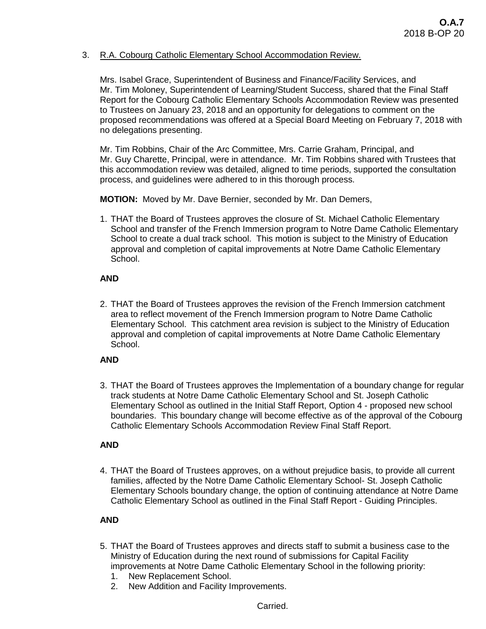# 3. R.A. Cobourg Catholic Elementary School Accommodation Review.

Mrs. Isabel Grace, Superintendent of Business and Finance/Facility Services, and Mr. Tim Moloney, Superintendent of Learning/Student Success, shared that the Final Staff Report for the Cobourg Catholic Elementary Schools Accommodation Review was presented to Trustees on January 23, 2018 and an opportunity for delegations to comment on the proposed recommendations was offered at a Special Board Meeting on February 7, 2018 with no delegations presenting.

Mr. Tim Robbins, Chair of the Arc Committee, Mrs. Carrie Graham, Principal, and Mr. Guy Charette, Principal, were in attendance. Mr. Tim Robbins shared with Trustees that this accommodation review was detailed, aligned to time periods, supported the consultation process, and guidelines were adhered to in this thorough process.

**MOTION:** Moved by Mr. Dave Bernier, seconded by Mr. Dan Demers,

1. THAT the Board of Trustees approves the closure of St. Michael Catholic Elementary School and transfer of the French Immersion program to Notre Dame Catholic Elementary School to create a dual track school. This motion is subject to the Ministry of Education approval and completion of capital improvements at Notre Dame Catholic Elementary School.

## **AND**

2. THAT the Board of Trustees approves the revision of the French Immersion catchment area to reflect movement of the French Immersion program to Notre Dame Catholic Elementary School. This catchment area revision is subject to the Ministry of Education approval and completion of capital improvements at Notre Dame Catholic Elementary School.

## **AND**

3. THAT the Board of Trustees approves the Implementation of a boundary change for regular track students at Notre Dame Catholic Elementary School and St. Joseph Catholic Elementary School as outlined in the Initial Staff Report, Option 4 - proposed new school boundaries. This boundary change will become effective as of the approval of the Cobourg Catholic Elementary Schools Accommodation Review Final Staff Report.

## **AND**

4. THAT the Board of Trustees approves, on a without prejudice basis, to provide all current families, affected by the Notre Dame Catholic Elementary School- St. Joseph Catholic Elementary Schools boundary change, the option of continuing attendance at Notre Dame Catholic Elementary School as outlined in the Final Staff Report - Guiding Principles.

# **AND**

- 5. THAT the Board of Trustees approves and directs staff to submit a business case to the Ministry of Education during the next round of submissions for Capital Facility improvements at Notre Dame Catholic Elementary School in the following priority:
	- 1. New Replacement School.
	- 2. New Addition and Facility Improvements.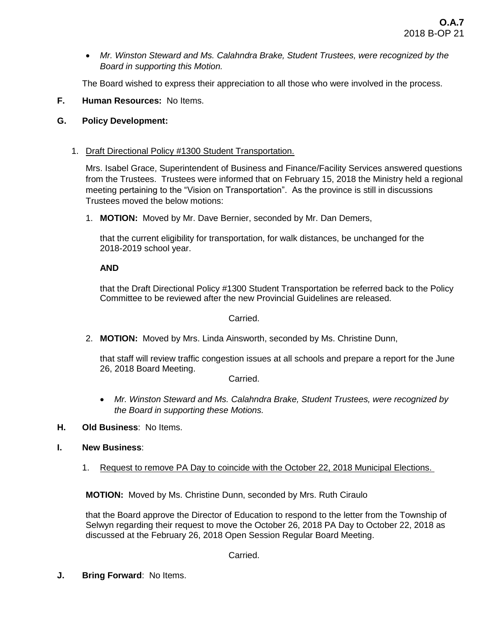*Mr. Winston Steward and Ms. Calahndra Brake, Student Trustees, were recognized by the Board in supporting this Motion.*

The Board wished to express their appreciation to all those who were involved in the process.

**F. Human Resources:** No Items.

## **G. Policy Development:**

## 1. Draft Directional Policy #1300 Student Transportation.

Mrs. Isabel Grace, Superintendent of Business and Finance/Facility Services answered questions from the Trustees. Trustees were informed that on February 15, 2018 the Ministry held a regional meeting pertaining to the "Vision on Transportation". As the province is still in discussions Trustees moved the below motions:

1. **MOTION:** Moved by Mr. Dave Bernier, seconded by Mr. Dan Demers,

that the current eligibility for transportation, for walk distances, be unchanged for the 2018-2019 school year.

#### **AND**

that the Draft Directional Policy #1300 Student Transportation be referred back to the Policy Committee to be reviewed after the new Provincial Guidelines are released.

Carried.

2. **MOTION:** Moved by Mrs. Linda Ainsworth, seconded by Ms. Christine Dunn,

that staff will review traffic congestion issues at all schools and prepare a report for the June 26, 2018 Board Meeting.

Carried.

- *Mr. Winston Steward and Ms. Calahndra Brake, Student Trustees, were recognized by the Board in supporting these Motions.*
- **H. Old Business**: No Items.

## **I. New Business**:

1. Request to remove PA Day to coincide with the October 22, 2018 Municipal Elections.

**MOTION:** Moved by Ms. Christine Dunn, seconded by Mrs. Ruth Ciraulo

that the Board approve the Director of Education to respond to the letter from the Township of Selwyn regarding their request to move the October 26, 2018 PA Day to October 22, 2018 as discussed at the February 26, 2018 Open Session Regular Board Meeting.

Carried.

**J. Bring Forward**: No Items.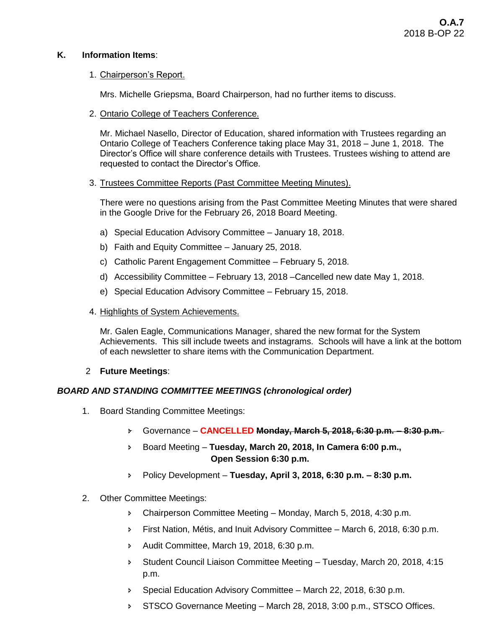# **K. Information Items**:

## 1. Chairperson's Report.

Mrs. Michelle Griepsma, Board Chairperson, had no further items to discuss.

2. Ontario College of Teachers Conference.

Mr. Michael Nasello, Director of Education, shared information with Trustees regarding an Ontario College of Teachers Conference taking place May 31, 2018 – June 1, 2018. The Director's Office will share conference details with Trustees. Trustees wishing to attend are requested to contact the Director's Office.

# 3. Trustees Committee Reports (Past Committee Meeting Minutes).

There were no questions arising from the Past Committee Meeting Minutes that were shared in the Google Drive for the February 26, 2018 Board Meeting.

- a) Special Education Advisory Committee January 18, 2018.
- b) Faith and Equity Committee January 25, 2018.
- c) Catholic Parent Engagement Committee February 5, 2018.
- d) Accessibility Committee February 13, 2018 –Cancelled new date May 1, 2018.
- e) Special Education Advisory Committee February 15, 2018.
- 4. Highlights of System Achievements.

Mr. Galen Eagle, Communications Manager, shared the new format for the System Achievements. This sill include tweets and instagrams. Schools will have a link at the bottom of each newsletter to share items with the Communication Department.

# 2 **Future Meetings**:

# *BOARD AND STANDING COMMITTEE MEETINGS (chronological order)*

- 1. Board Standing Committee Meetings:
	- Governance **CANCELLED Monday, March 5, 2018, 6:30 p.m. – 8:30 p.m.**
	- Board Meeting **Tuesday, March 20, 2018, In Camera 6:00 p.m., Open Session 6:30 p.m.**
	- Policy Development **Tuesday, April 3, 2018, 6:30 p.m. – 8:30 p.m.**
- 2. Other Committee Meetings:
	- Chairperson Committee Meeting Monday, March 5, 2018, 4:30 p.m.
	- First Nation, Métis, and Inuit Advisory Committee March 6, 2018, 6:30 p.m.
	- Audit Committee, March 19, 2018, 6:30 p.m.
	- Student Council Liaison Committee Meeting Tuesday, March 20, 2018, 4:15 p.m.
	- **Special Education Advisory Committee March 22, 2018, 6:30 p.m.**
	- STSCO Governance Meeting March 28, 2018, 3:00 p.m., STSCO Offices.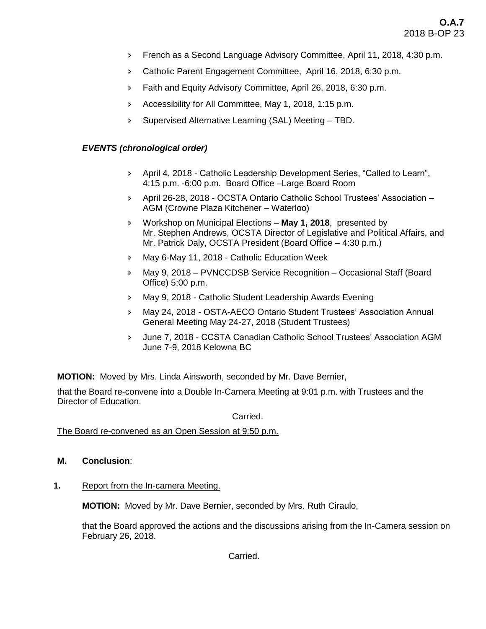- French as a Second Language Advisory Committee, April 11, 2018, 4:30 p.m.
- Catholic Parent Engagement Committee, April 16, 2018, 6:30 p.m.
- **Faith and Equity Advisory Committee, April 26, 2018, 6:30 p.m.**
- Accessibility for All Committee, May 1, 2018, 1:15 p.m.
- Supervised Alternative Learning (SAL) Meeting TBD.

## *EVENTS (chronological order)*

- April 4, 2018 Catholic Leadership Development Series, "Called to Learn", 4:15 p.m. -6:00 p.m. Board Office –Large Board Room
- April 26-28, 2018 OCSTA Ontario Catholic School Trustees' Association AGM (Crowne Plaza Kitchener – Waterloo)
- Workshop on Municipal Elections **May 1, 2018**, presented by Mr. Stephen Andrews, OCSTA Director of Legislative and Political Affairs, and Mr. Patrick Daly, OCSTA President (Board Office – 4:30 p.m.)
- May 6-May 11, 2018 Catholic Education Week
- May 9, 2018 PVNCCDSB Service Recognition Occasional Staff (Board Office) 5:00 p.m.
- May 9, 2018 Catholic Student Leadership Awards Evening
- May 24, 2018 OSTA-AECO Ontario Student Trustees' Association Annual General Meeting May 24-27, 2018 (Student Trustees)
- June 7, 2018 CCSTA Canadian Catholic School Trustees' Association AGM June 7-9, 2018 Kelowna BC

**MOTION:** Moved by Mrs. Linda Ainsworth, seconded by Mr. Dave Bernier,

that the Board re-convene into a Double In-Camera Meeting at 9:01 p.m. with Trustees and the Director of Education.

#### Carried.

The Board re-convened as an Open Session at 9:50 p.m.

- **M. Conclusion**:
- **1.** Report from the In-camera Meeting.

**MOTION:** Moved by Mr. Dave Bernier, seconded by Mrs. Ruth Ciraulo,

that the Board approved the actions and the discussions arising from the In-Camera session on February 26, 2018.

Carried.